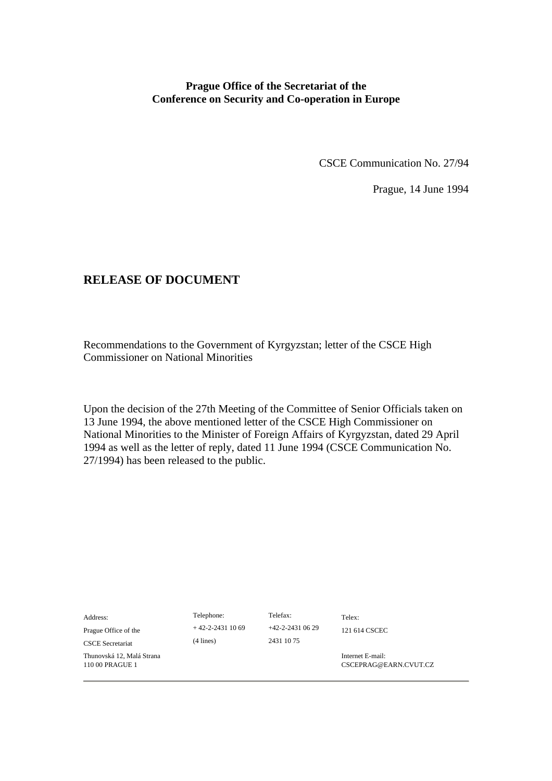## **Prague Office of the Secretariat of the Conference on Security and Co-operation in Europe**

CSCE Communication No. 27/94

Prague, 14 June 1994

## **RELEASE OF DOCUMENT**

Recommendations to the Government of Kyrgyzstan; letter of the CSCE High Commissioner on National Minorities

Upon the decision of the 27th Meeting of the Committee of Senior Officials taken on 13 June 1994, the above mentioned letter of the CSCE High Commissioner on National Minorities to the Minister of Foreign Affairs of Kyrgyzstan, dated 29 April 1994 as well as the letter of reply, dated 11 June 1994 (CSCE Communication No. 27/1994) has been released to the public.

| Address:<br>Prague Office of the<br><b>CSCE</b> Secretariat | Telephone:<br>$+42-2-24311069$<br>$(4$ lines) | Telefax:<br>$+42-2-2431$ 06 29<br>2431 10 75 | Telex:<br>121 614 CSCEC                   |
|-------------------------------------------------------------|-----------------------------------------------|----------------------------------------------|-------------------------------------------|
| Thunovská 12, Malá Strana<br>110 00 PRAGUE 1                |                                               |                                              | Internet E-mail:<br>CSCEPRAG@EARN.CVUT.CZ |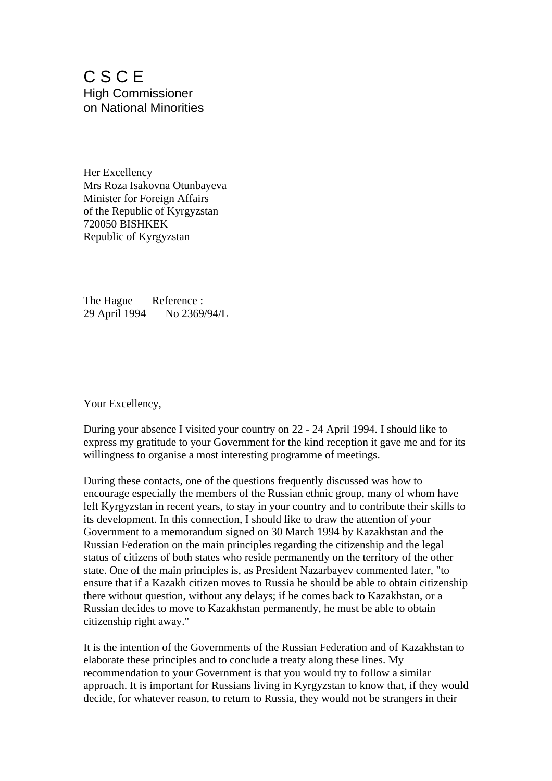C S C E High Commissioner on National Minorities

Her Excellency Mrs Roza Isakovna Otunbayeva Minister for Foreign Affairs of the Republic of Kyrgyzstan 720050 BISHKEK Republic of Kyrgyzstan

The Hague Reference : 29 April 1994 No 2369/94/L

Your Excellency,

During your absence I visited your country on 22 - 24 April 1994. I should like to express my gratitude to your Government for the kind reception it gave me and for its willingness to organise a most interesting programme of meetings.

During these contacts, one of the questions frequently discussed was how to encourage especially the members of the Russian ethnic group, many of whom have left Kyrgyzstan in recent years, to stay in your country and to contribute their skills to its development. In this connection, I should like to draw the attention of your Government to a memorandum signed on 30 March 1994 by Kazakhstan and the Russian Federation on the main principles regarding the citizenship and the legal status of citizens of both states who reside permanently on the territory of the other state. One of the main principles is, as President Nazarbayev commented later, "to ensure that if a Kazakh citizen moves to Russia he should be able to obtain citizenship there without question, without any delays; if he comes back to Kazakhstan, or a Russian decides to move to Kazakhstan permanently, he must be able to obtain citizenship right away."

It is the intention of the Governments of the Russian Federation and of Kazakhstan to elaborate these principles and to conclude a treaty along these lines. My recommendation to your Government is that you would try to follow a similar approach. It is important for Russians living in Kyrgyzstan to know that, if they would decide, for whatever reason, to return to Russia, they would not be strangers in their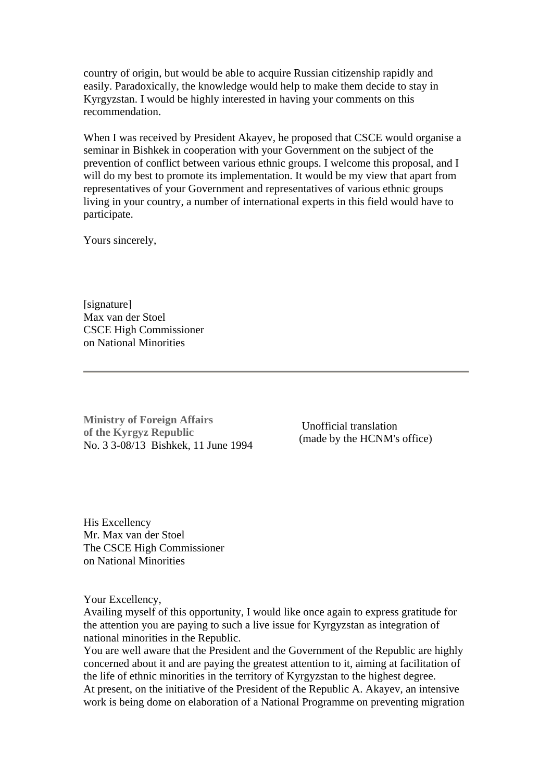country of origin, but would be able to acquire Russian citizenship rapidly and easily. Paradoxically, the knowledge would help to make them decide to stay in Kyrgyzstan. I would be highly interested in having your comments on this recommendation.

When I was received by President Akayev, he proposed that CSCE would organise a seminar in Bishkek in cooperation with your Government on the subject of the prevention of conflict between various ethnic groups. I welcome this proposal, and I will do my best to promote its implementation. It would be my view that apart from representatives of your Government and representatives of various ethnic groups living in your country, a number of international experts in this field would have to participate.

Yours sincerely,

[signature] Max van der Stoel CSCE High Commissioner on National Minorities

**Ministry of Foreign Affairs of the Kyrgyz Republic**  No. 3 3-08/13 Bishkek, 11 June 1994

 Unofficial translation (made by the HCNM's office)

His Excellency Mr. Max van der Stoel The CSCE High Commissioner on National Minorities

Your Excellency,

Availing myself of this opportunity, I would like once again to express gratitude for the attention you are paying to such a live issue for Kyrgyzstan as integration of national minorities in the Republic.

You are well aware that the President and the Government of the Republic are highly concerned about it and are paying the greatest attention to it, aiming at facilitation of the life of ethnic minorities in the territory of Kyrgyzstan to the highest degree. At present, on the initiative of the President of the Republic A. Akayev, an intensive work is being dome on elaboration of a National Programme on preventing migration